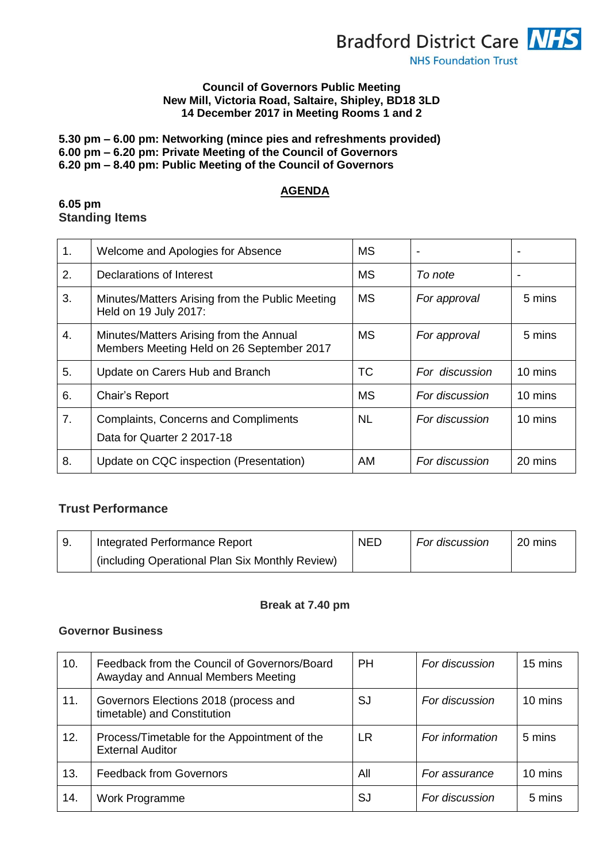

#### **Council of Governors Public Meeting New Mill, Victoria Road, Saltaire, Shipley, BD18 3LD 14 December 2017 in Meeting Rooms 1 and 2**

### **5.30 pm – 6.00 pm: Networking (mince pies and refreshments provided) 6.00 pm – 6.20 pm: Private Meeting of the Council of Governors 6.20 pm – 8.40 pm: Public Meeting of the Council of Governors**

## **AGENDA**

#### **6.05 pm Standing Items**

| 1. | Welcome and Apologies for Absence                                                    | <b>MS</b> |                | ٠       |
|----|--------------------------------------------------------------------------------------|-----------|----------------|---------|
| 2. | Declarations of Interest                                                             | МS        | To note        |         |
| 3. | Minutes/Matters Arising from the Public Meeting<br>Held on 19 July 2017:             | <b>MS</b> | For approval   | 5 mins  |
| 4. | Minutes/Matters Arising from the Annual<br>Members Meeting Held on 26 September 2017 | <b>MS</b> | For approval   | 5 mins  |
| 5. | Update on Carers Hub and Branch                                                      | ТC        | For discussion | 10 mins |
| 6. | Chair's Report                                                                       | <b>MS</b> | For discussion | 10 mins |
| 7. | <b>Complaints, Concerns and Compliments</b><br>Data for Quarter 2 2017-18            | <b>NL</b> | For discussion | 10 mins |
| 8. | Update on CQC inspection (Presentation)                                              | AM        | For discussion | 20 mins |

# **Trust Performance**

| Integrated Performance Report                   | <b>NED</b> | For discussion | $20 \text{ mins}$ |
|-------------------------------------------------|------------|----------------|-------------------|
| (including Operational Plan Six Monthly Review) |            |                |                   |

## **Break at 7.40 pm**

# **Governor Business**

| 10. | Feedback from the Council of Governors/Board<br>Awayday and Annual Members Meeting | <b>PH</b> | For discussion  | 15 mins |
|-----|------------------------------------------------------------------------------------|-----------|-----------------|---------|
| 11. | Governors Elections 2018 (process and<br>timetable) and Constitution               | SJ        | For discussion  | 10 mins |
| 12. | Process/Timetable for the Appointment of the<br><b>External Auditor</b>            | LR        | For information | 5 mins  |
| 13. | <b>Feedback from Governors</b>                                                     | All       | For assurance   | 10 mins |
| 14. | Work Programme                                                                     | SJ        | For discussion  | 5 mins  |